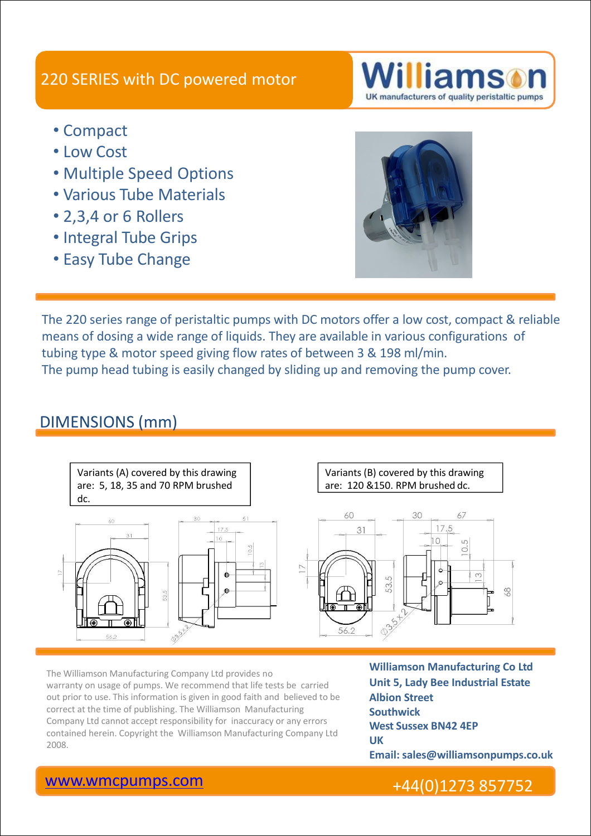### 220 SERIES with DC powered motor

- Compact
- Low Cost
- Multiple Speed Options
- Various Tube Materials
- 2,3,4 or 6 Rollers
- Integral Tube Grips
- Easy Tube Change



UK manufacturers of quality peristaltic pumps

The 220 series range of peristaltic pumps with DC motors offer a low cost, compact & reliable means of dosing a wide range of liquids. They are available in various configurations of tubing type & motor speed giving flow rates of between 3 & 198 ml/min. The pump head tubing is easily changed by sliding up and removing the pump cover.

### DIMENSIONS (mm)



The Williamson Manufacturing Company Ltd provides no **Example 20 Williamson Manufacturing Co Ltd** warranty on usage of pumps. We recommend that life tests be carried out prior to use. This information is given in good faith and believed to be correct at the time of publishing. The Williamson Manufacturing Company Ltd cannot accept responsibility for inaccuracy or any errors contained herein. Copyright the Williamson Manufacturing Company Ltd **UK** The Williamson Manufacturing Company Ltd provides no<br>
warranty on usage of pumps. We recommend that life tests be carried<br>
out prior to use. This information is given in good faith and believed to be<br>
correct at the time o

**Unit 5, Lady Bee Industrial Estate Albion Street Southwick West Sussex BN42 4EP UK Email: sales@williamsonpumps.co.uk**

#### [www.wmcpumps.com](http://www.wmcpumps.com/) +44(0)1273 857752